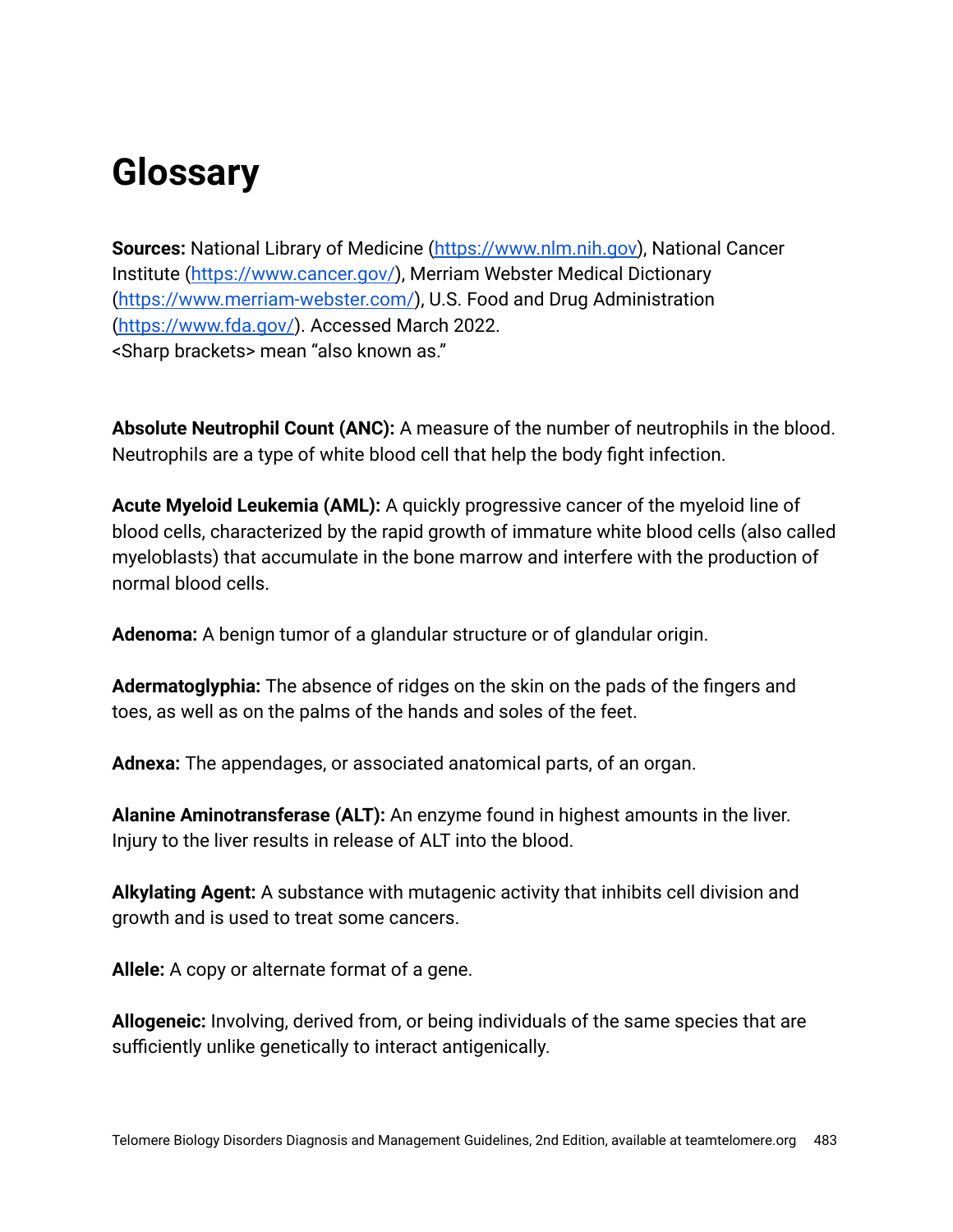## **Glossary**

**Sources:** National Library of Medicine [\(https://www.nlm.nih.gov\)](https://www.nlm.nih.gov/), National Cancer Institute ([https://www.cancer.gov/\)](https://www.cancer.gov/), Merriam Webster Medical Dictionary [\(https://www.merriam-webster.com/](https://www.merriam-webster.com/)), U.S. Food and Drug Administration [\(https://www.fda.gov/](https://www.fda.gov/)). Accessed March 2022. <Sharp brackets> mean "also known as."

**Absolute Neutrophil Count (ANC):** A measure of the number of neutrophils in the blood. Neutrophils are a type of white blood cell that help the body fight infection.

**Acute Myeloid Leukemia (AML):** A quickly progressive cancer of the myeloid line of blood cells, characterized by the rapid growth of immature white blood cells (also called myeloblasts) that accumulate in the bone marrow and interfere with the production of normal blood cells.

**Adenoma:** A benign tumor of a glandular structure or of glandular origin.

**Adermatoglyphia:** The absence of ridges on the skin on the pads of the fingers and toes, as well as on the palms of the hands and soles of the feet.

**Adnexa:** The appendages, or associated anatomical parts, of an organ.

**Alanine Aminotransferase (ALT):** An enzyme found in highest amounts in the liver. Injury to the liver results in release of ALT into the blood.

**Alkylating Agent:** A substance with mutagenic activity that inhibits cell division and growth and is used to treat some cancers.

**Allele:** A copy or alternate format of a gene.

**Allogeneic:** Involving, derived from, or being individuals of the same species that are sufficiently unlike genetically to interact antigenically.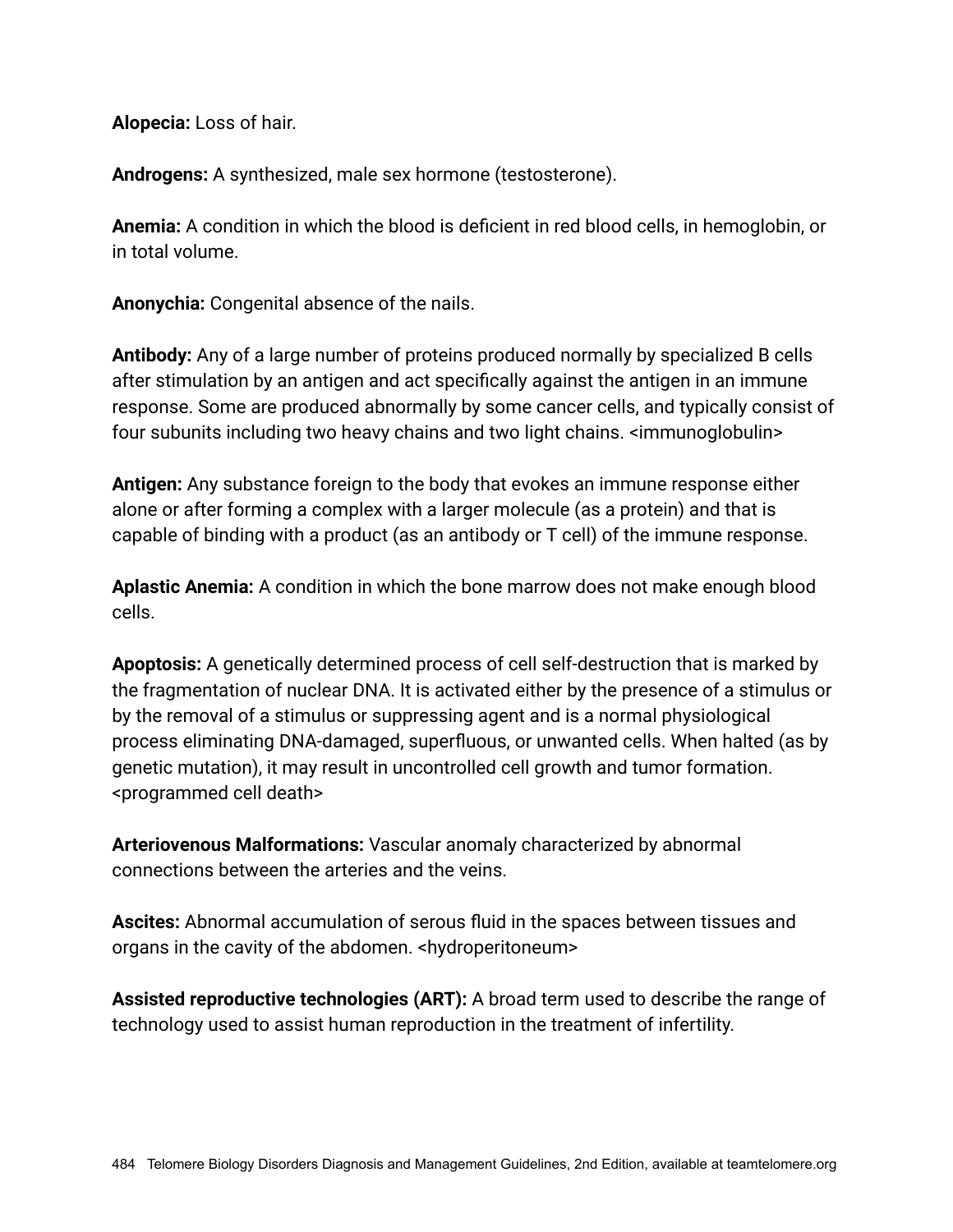**Alopecia:** Loss of hair.

**Androgens:** A synthesized, male sex hormone (testosterone).

**Anemia:** A condition in which the blood is deficient in red blood cells, in hemoglobin, or in total volume.

**Anonychia:** Congenital absence of the nails.

**Antibody:** Any of a large number of proteins produced normally by specialized B cells after stimulation by an antigen and act specifically against the antigen in an immune response. Some are produced abnormally by some cancer cells, and typically consist of four subunits including two heavy chains and two light chains. <immunoglobulin>

**Antigen:** Any substance foreign to the body that evokes an immune response either alone or after forming a complex with a larger molecule (as a protein) and that is capable of binding with a product (as an antibody or T cell) of the immune response.

**Aplastic Anemia:** A condition in which the bone marrow does not make enough blood cells.

**Apoptosis:** A genetically determined process of cell self-destruction that is marked by the fragmentation of nuclear DNA. It is activated either by the presence of a stimulus or by the removal of a stimulus or suppressing agent and is a normal physiological process eliminating DNA-damaged, superfluous, or unwanted cells. When halted (as by genetic mutation), it may result in uncontrolled cell growth and tumor formation. <programmed cell death>

**Arteriovenous Malformations:** Vascular anomaly characterized by abnormal connections between the arteries and the veins.

**Ascites:** Abnormal accumulation of serous fluid in the spaces between tissues and organs in the cavity of the abdomen. <hydroperitoneum>

**Assisted reproductive technologies (ART):** A broad term used to describe the range of technology used to assist human reproduction in the treatment of infertility.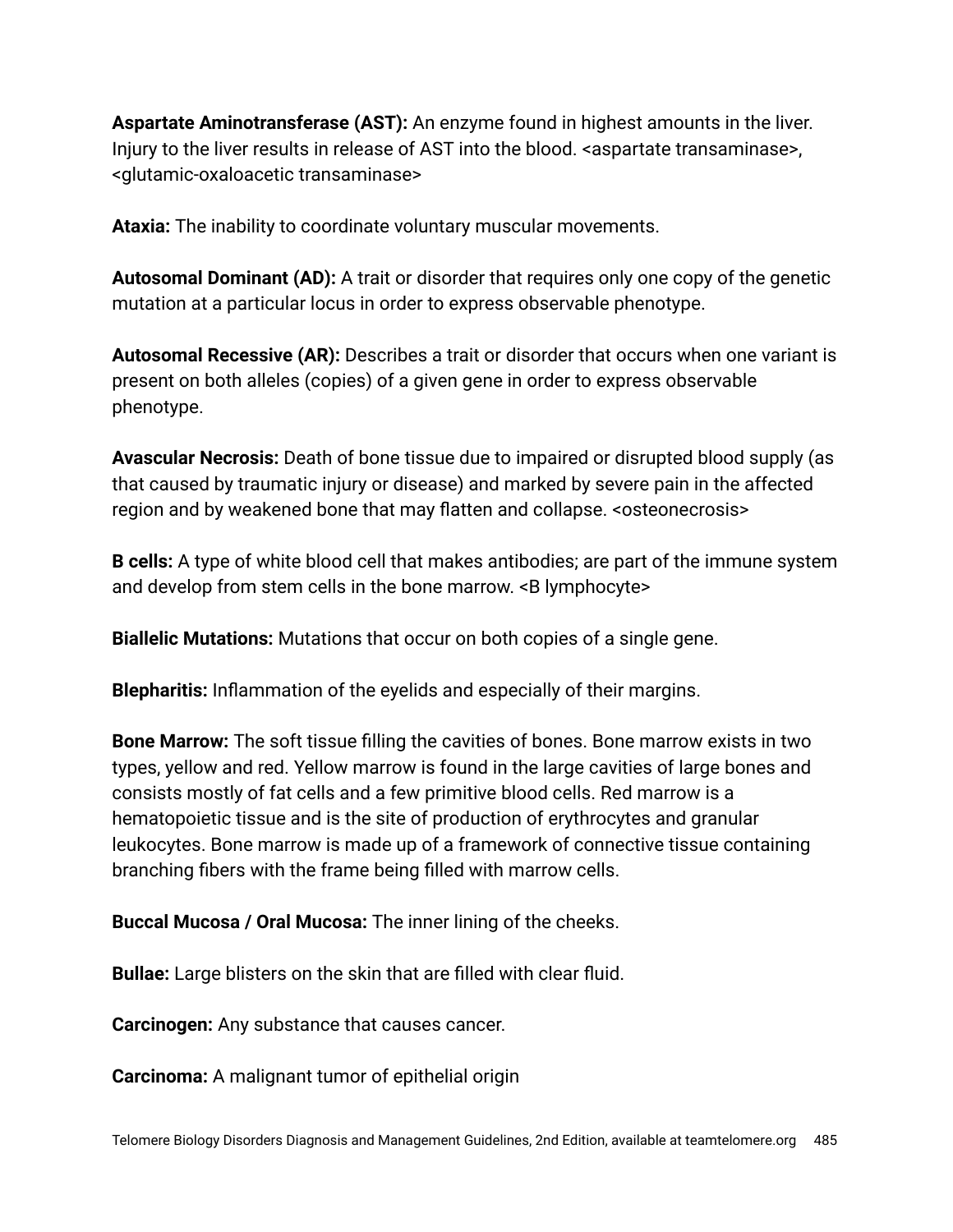**Aspartate Aminotransferase (AST):** An enzyme found in highest amounts in the liver. Injury to the liver results in release of AST into the blood. <aspartate transaminase>, <glutamic-oxaloacetic transaminase>

**Ataxia:** The inability to coordinate voluntary muscular movements.

**Autosomal Dominant (AD):** A trait or disorder that requires only one copy of the genetic mutation at a particular locus in order to express observable phenotype.

**Autosomal Recessive (AR):** Describes a trait or disorder that occurs when one variant is present on both alleles (copies) of a given gene in order to express observable phenotype.

**Avascular Necrosis:** Death of bone tissue due to impaired or disrupted blood supply (as that caused by traumatic injury or disease) and marked by severe pain in the affected region and by weakened bone that may flatten and collapse. < osteonecrosis>

**B cells:** A type of white blood cell that makes antibodies; are part of the immune system and develop from stem cells in the bone marrow. <B lymphocyte>

**Biallelic Mutations:** Mutations that occur on both copies of a single gene.

**Blepharitis:** Inflammation of the eyelids and especially of their margins.

**Bone Marrow:** The soft tissue filling the cavities of bones. Bone marrow exists in two types, yellow and red. Yellow marrow is found in the large cavities of large bones and consists mostly of fat cells and a few primitive blood cells. Red marrow is a hematopoietic tissue and is the site of production of erythrocytes and granular leukocytes. Bone marrow is made up of a framework of connective tissue containing branching fibers with the frame being filled with marrow cells.

**Buccal Mucosa / Oral Mucosa:** The inner lining of the cheeks.

**Bullae:** Large blisters on the skin that are filled with clear fluid.

**Carcinogen:** Any substance that causes cancer.

**Carcinoma:** A malignant tumor of epithelial origin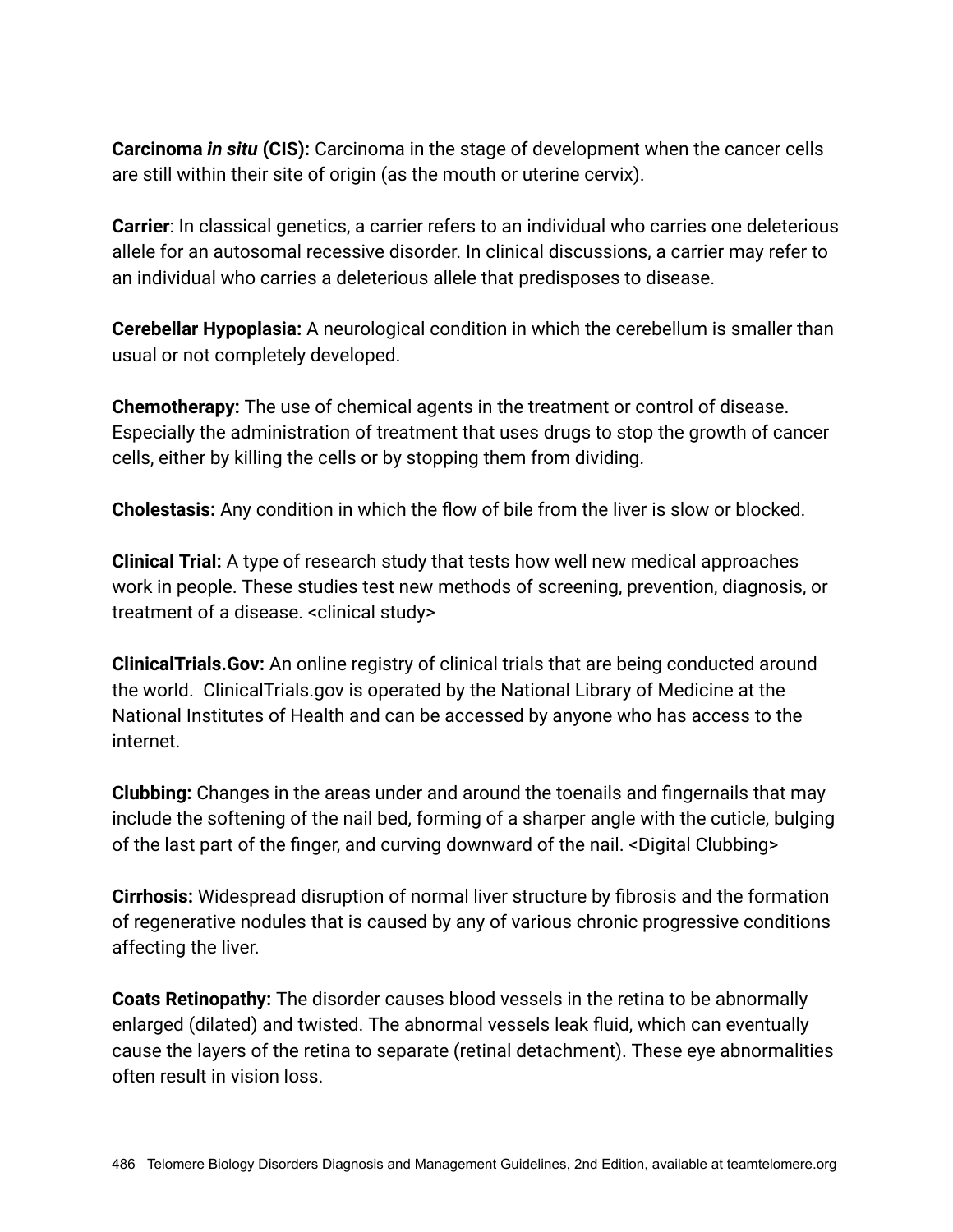**Carcinoma** *in situ* **(CIS):** Carcinoma in the stage of development when the cancer cells are still within their site of origin (as the mouth or uterine cervix).

**Carrier**: In classical genetics, a carrier refers to an individual who carries one deleterious allele for an autosomal recessive disorder. In clinical discussions, a carrier may refer to an individual who carries a deleterious allele that predisposes to disease.

**Cerebellar Hypoplasia:** A neurological condition in which the cerebellum is smaller than usual or not completely developed.

**Chemotherapy:** The use of chemical agents in the treatment or control of disease. Especially the administration of treatment that uses drugs to stop the growth of cancer cells, either by killing the cells or by stopping them from dividing.

**Cholestasis:** Any condition in which the flow of bile from the liver is slow or blocked.

**Clinical Trial:** A type of research study that tests how well new medical approaches work in people. These studies test new methods of screening, prevention, diagnosis, or treatment of a disease. <clinical study>

**ClinicalTrials.Gov:** An online registry of clinical trials that are being conducted around the world. ClinicalTrials.gov is operated by the National Library of Medicine at the National Institutes of Health and can be accessed by anyone who has access to the internet.

**Clubbing:** Changes in the areas under and around the toenails and fingernails that may include the softening of the nail bed, forming of a sharper angle with the cuticle, bulging of the last part of the finger, and curving downward of the nail. <Digital Clubbing>

**Cirrhosis:** Widespread disruption of normal liver structure by fibrosis and the formation of regenerative nodules that is caused by any of various chronic progressive conditions affecting the liver.

**Coats Retinopathy:** The disorder causes blood vessels in the retina to be abnormally enlarged (dilated) and twisted. The abnormal vessels leak fluid, which can eventually cause the layers of the retina to separate (retinal detachment). These eye abnormalities often result in vision loss.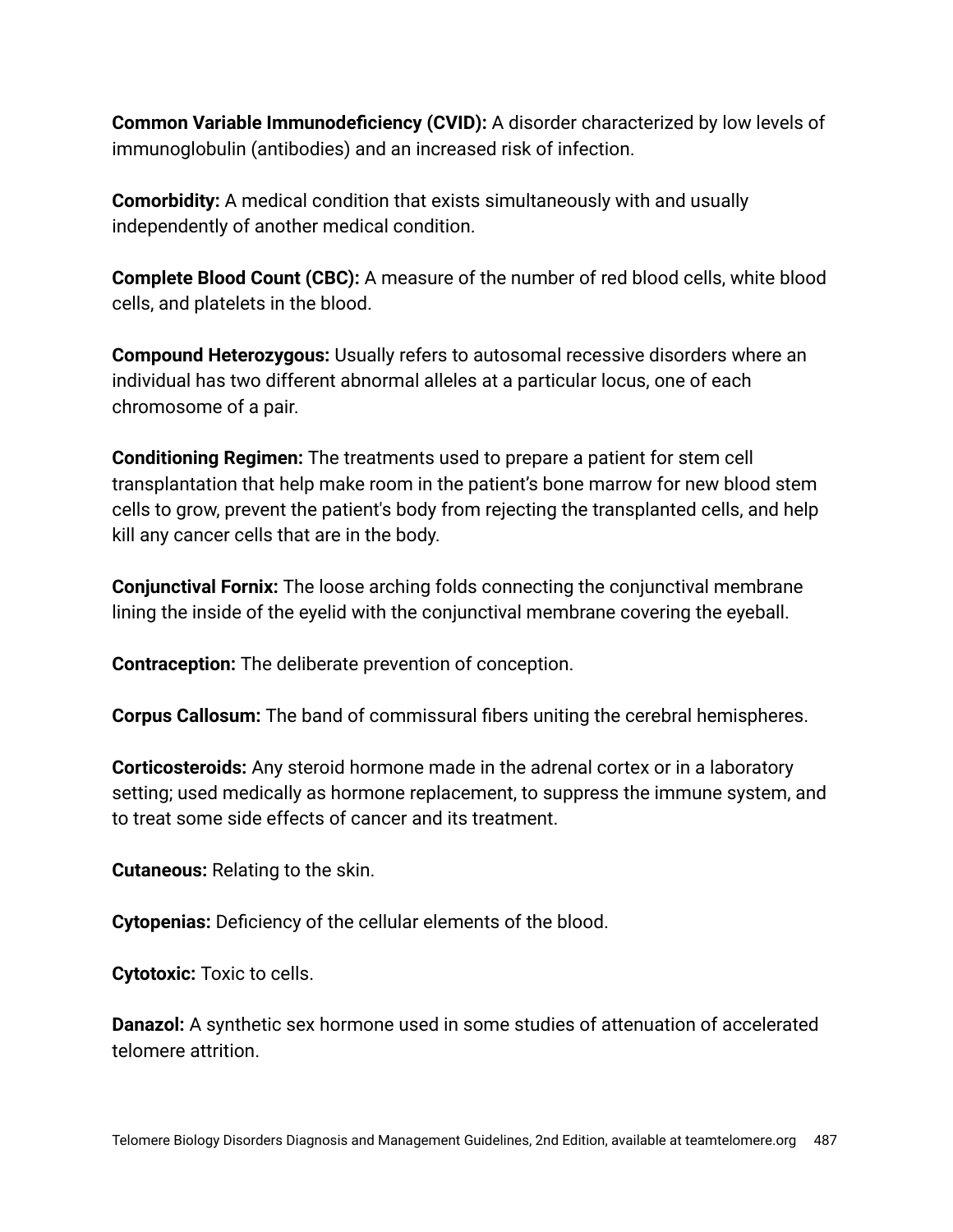**Common Variable Immunodeficiency (CVID):** A disorder characterized by low levels of immunoglobulin (antibodies) and an increased risk of infection.

**Comorbidity:** A medical condition that exists simultaneously with and usually independently of another medical condition.

**Complete Blood Count (CBC):** A measure of the number of red blood cells, white blood cells, and platelets in the blood.

**Compound Heterozygous:** Usually refers to autosomal recessive disorders where an individual has two different abnormal alleles at a particular locus, one of each chromosome of a pair.

**Conditioning Regimen:** The treatments used to prepare a patient for stem cell transplantation that help make room in the patient's bone marrow for new blood stem cells to grow, prevent the patient's body from rejecting the transplanted cells, and help kill any cancer cells that are in the body.

**Conjunctival Fornix:** The loose arching folds connecting the conjunctival membrane lining the inside of the eyelid with the conjunctival membrane covering the eyeball.

**Contraception:** The deliberate prevention of conception.

**Corpus Callosum:** The band of commissural fibers uniting the cerebral hemispheres.

**Corticosteroids:** Any steroid hormone made in the adrenal cortex or in a laboratory setting; used medically as hormone replacement, to suppress the immune system, and to treat some side effects of cancer and its treatment.

**Cutaneous:** Relating to the skin.

**Cytopenias:** Deficiency of the cellular elements of the blood.

**Cytotoxic:** Toxic to cells.

**Danazol:** A synthetic sex hormone used in some studies of attenuation of accelerated telomere attrition.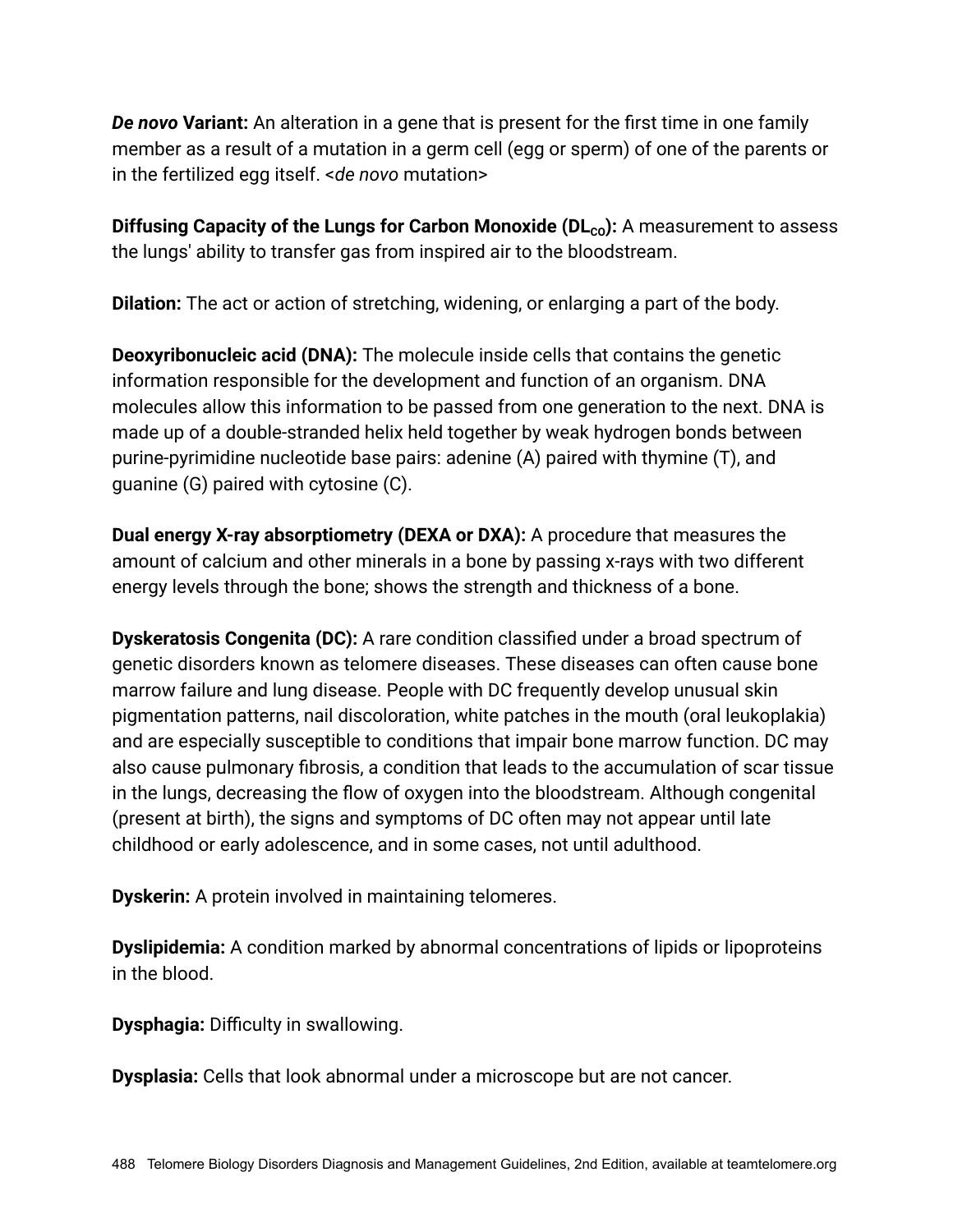*De novo* **Variant:** An alteration in a gene that is present for the first time in one family member as a result of a mutation in a germ cell (egg or sperm) of one of the parents or in the fertilized egg itself. <*de novo* mutation>

**Diffusing Capacity of the Lungs for Carbon Monoxide (DL<sub>co</sub>):** A measurement to assess the lungs' ability to transfer gas from inspired air to the bloodstream.

**Dilation:** The act or action of stretching, widening, or enlarging a part of the body.

**Deoxyribonucleic acid (DNA):** The molecule inside cells that contains the genetic information responsible for the development and function of an organism. DNA molecules allow this information to be passed from one generation to the next. DNA is made up of a double-stranded helix held together by weak hydrogen bonds between purine-pyrimidine nucleotide base pairs: adenine (A) paired with thymine (T), and guanine (G) paired with cytosine (C).

**Dual energy X-ray absorptiometry (DEXA or DXA):** A procedure that measures the amount of calcium and other minerals in a bone by passing x-rays with two different energy levels through the bone; shows the strength and thickness of a bone.

**Dyskeratosis Congenita (DC):** A rare condition classified under a broad spectrum of genetic disorders known as telomere diseases. These diseases can often cause bone marrow failure and lung disease. People with DC frequently develop unusual skin pigmentation patterns, nail discoloration, white patches in the mouth (oral leukoplakia) and are especially susceptible to conditions that impair bone marrow function. DC may also cause pulmonary fibrosis, a condition that leads to the accumulation of scar tissue in the lungs, decreasing the flow of oxygen into the bloodstream. Although congenital (present at birth), the signs and symptoms of DC often may not appear until late childhood or early adolescence, and in some cases, not until adulthood.

**Dyskerin:** A protein involved in maintaining telomeres.

**Dyslipidemia:** A condition marked by abnormal concentrations of lipids or lipoproteins in the blood.

**Dysphagia:** Difficulty in swallowing.

**Dysplasia:** Cells that look abnormal under a microscope but are not cancer.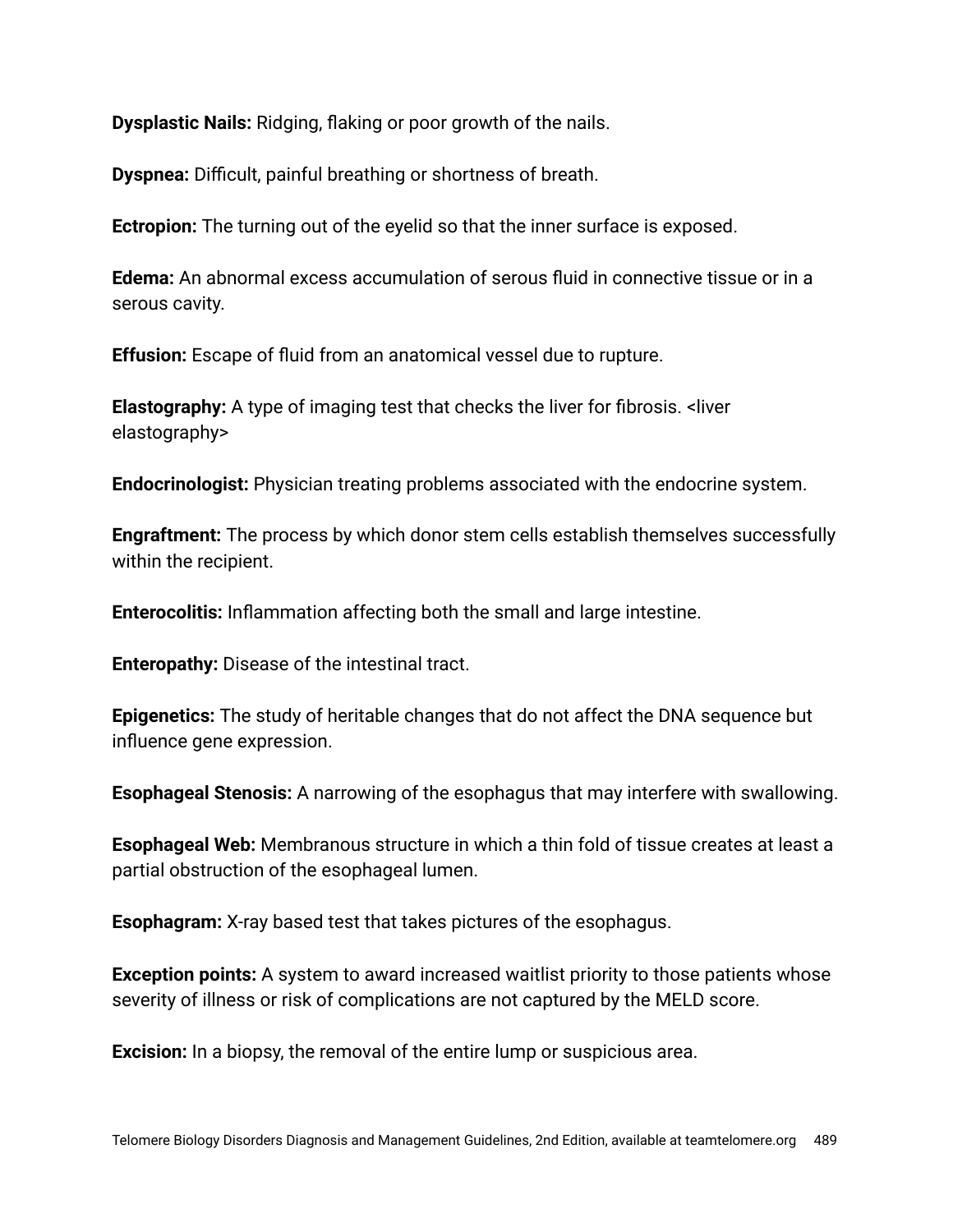**Dysplastic Nails:** Ridging, flaking or poor growth of the nails.

**Dyspnea:** Difficult, painful breathing or shortness of breath.

**Ectropion:** The turning out of the eyelid so that the inner surface is exposed.

**Edema:** An abnormal excess accumulation of serous fluid in connective tissue or in a serous cavity.

**Effusion:** Escape of fluid from an anatomical vessel due to rupture.

**Elastography:** A type of imaging test that checks the liver for fibrosis. <liver elastography>

**Endocrinologist:** Physician treating problems associated with the endocrine system.

**Engraftment:** The process by which donor stem cells establish themselves successfully within the recipient.

**Enterocolitis:** Inflammation affecting both the small and large intestine.

**Enteropathy:** Disease of the intestinal tract.

**Epigenetics:** The study of heritable changes that do not affect the DNA sequence but influence gene expression.

**Esophageal Stenosis:** A narrowing of the esophagus that may interfere with swallowing.

**Esophageal Web:** Membranous structure in which a thin fold of tissue creates at least a partial obstruction of the esophageal lumen.

**Esophagram:** X-ray based test that takes pictures of the esophagus.

**Exception points:** A system to award increased waitlist priority to those patients whose severity of illness or risk of complications are not captured by the MELD score.

**Excision:** In a biopsy, the removal of the entire lump or suspicious area.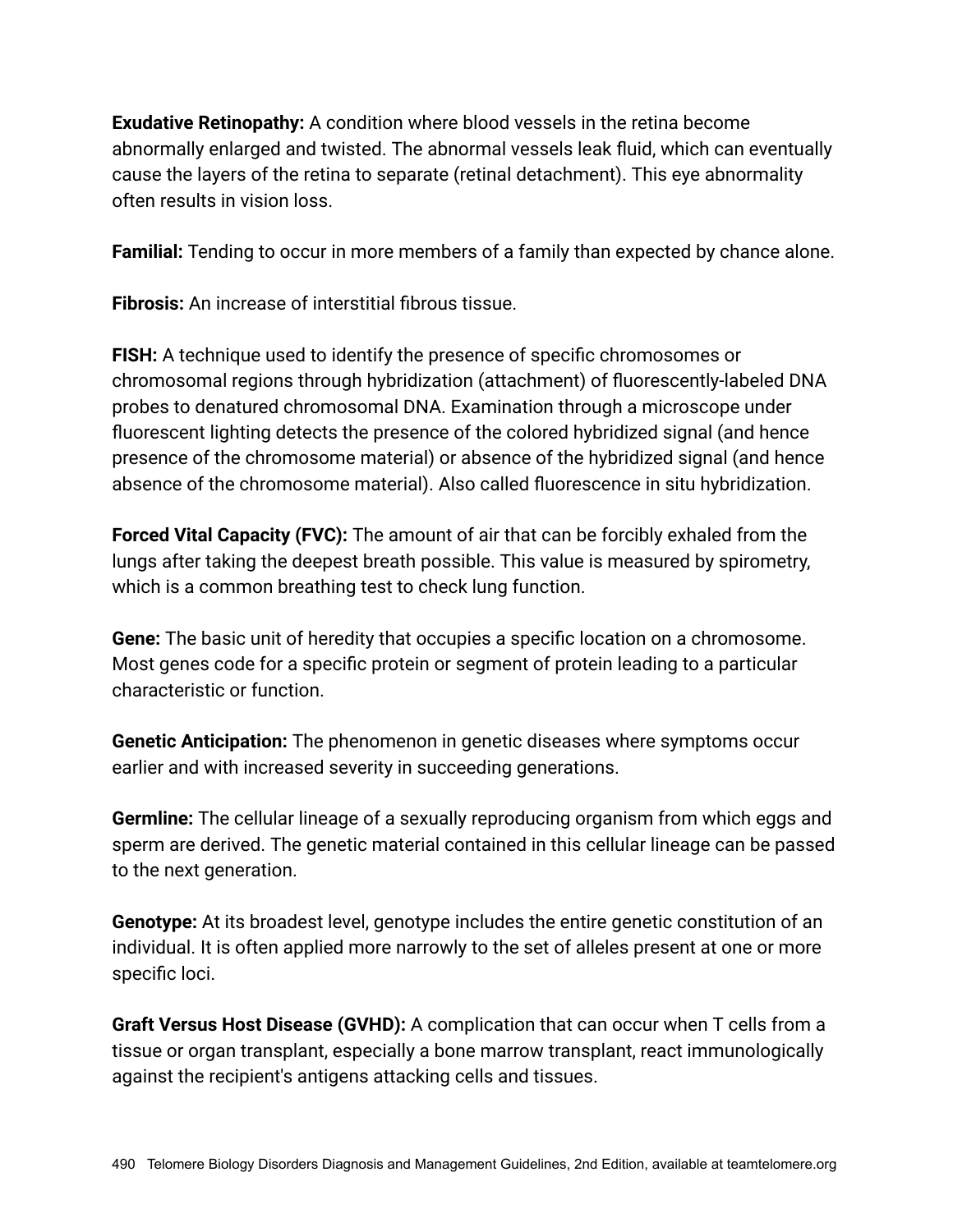**Exudative Retinopathy:** A condition where blood vessels in the retina become abnormally enlarged and twisted. The abnormal vessels leak fluid, which can eventually cause the layers of the retina to separate (retinal detachment). This eye abnormality often results in vision loss.

**Familial:** Tending to occur in more members of a family than expected by chance alone.

**Fibrosis:** An increase of interstitial fibrous tissue.

**FISH:** A technique used to identify the presence of specific chromosomes or chromosomal regions through hybridization (attachment) of fluorescently-labeled DNA probes to denatured chromosomal DNA. Examination through a microscope under fluorescent lighting detects the presence of the colored hybridized signal (and hence presence of the chromosome material) or absence of the hybridized signal (and hence absence of the chromosome material). Also called fluorescence in situ hybridization.

**Forced Vital Capacity (FVC):** The amount of air that can be forcibly exhaled from the lungs after taking the deepest breath possible. This value is measured by spirometry, which is a common breathing test to check lung function.

**Gene:** The basic unit of heredity that occupies a specific location on a chromosome. Most genes code for a specific protein or segment of protein leading to a particular characteristic or function.

**Genetic Anticipation:** The phenomenon in genetic diseases where symptoms occur earlier and with increased severity in succeeding generations.

**Germline:** The cellular lineage of a sexually reproducing organism from which eggs and sperm are derived. The genetic material contained in this cellular lineage can be passed to the next generation.

**Genotype:** At its broadest level, genotype includes the entire genetic constitution of an individual. It is often applied more narrowly to the set of alleles present at one or more specific loci.

**Graft Versus Host Disease (GVHD):** A complication that can occur when T cells from a tissue or organ transplant, especially a bone marrow transplant, react immunologically against the recipient's antigens attacking cells and tissues.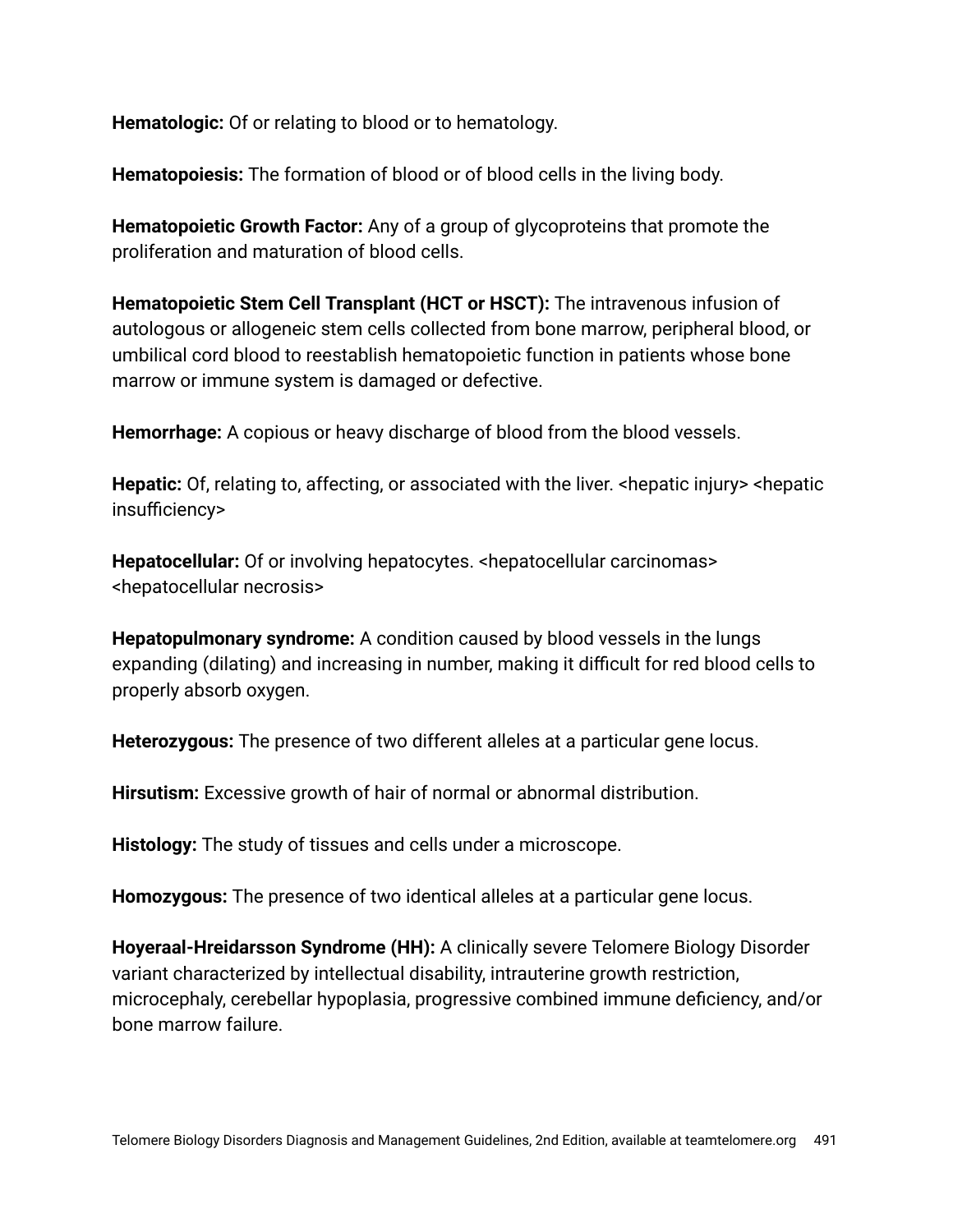**Hematologic:** Of or relating to blood or to hematology.

**Hematopoiesis:** The formation of blood or of blood cells in the living body.

**Hematopoietic Growth Factor:** Any of a group of glycoproteins that promote the proliferation and maturation of blood cells.

**Hematopoietic Stem Cell Transplant (HCT or HSCT):** The intravenous infusion of autologous or allogeneic stem cells collected from bone marrow, peripheral blood, or umbilical cord blood to reestablish hematopoietic function in patients whose bone marrow or immune system is damaged or defective.

**Hemorrhage:** A copious or heavy discharge of blood from the blood vessels.

**Hepatic:** Of, relating to, affecting, or associated with the liver. <hepatic injury> <hepatic insufficiency>

**Hepatocellular:** Of or involving hepatocytes. <hepatocellular carcinomas> <hepatocellular necrosis>

**Hepatopulmonary syndrome:** A condition caused by blood vessels in the lungs expanding (dilating) and increasing in number, making it difficult for red blood cells to properly absorb oxygen.

**Heterozygous:** The presence of two different alleles at a particular gene locus.

**Hirsutism:** Excessive growth of hair of normal or abnormal distribution.

**Histology:** The study of tissues and cells under a microscope.

**Homozygous:** The presence of two identical alleles at a particular gene locus.

**Hoyeraal-Hreidarsson Syndrome (HH):** A clinically severe Telomere Biology Disorder variant characterized by intellectual disability, intrauterine growth restriction, microcephaly, cerebellar hypoplasia, progressive combined immune deficiency, and/or bone marrow failure.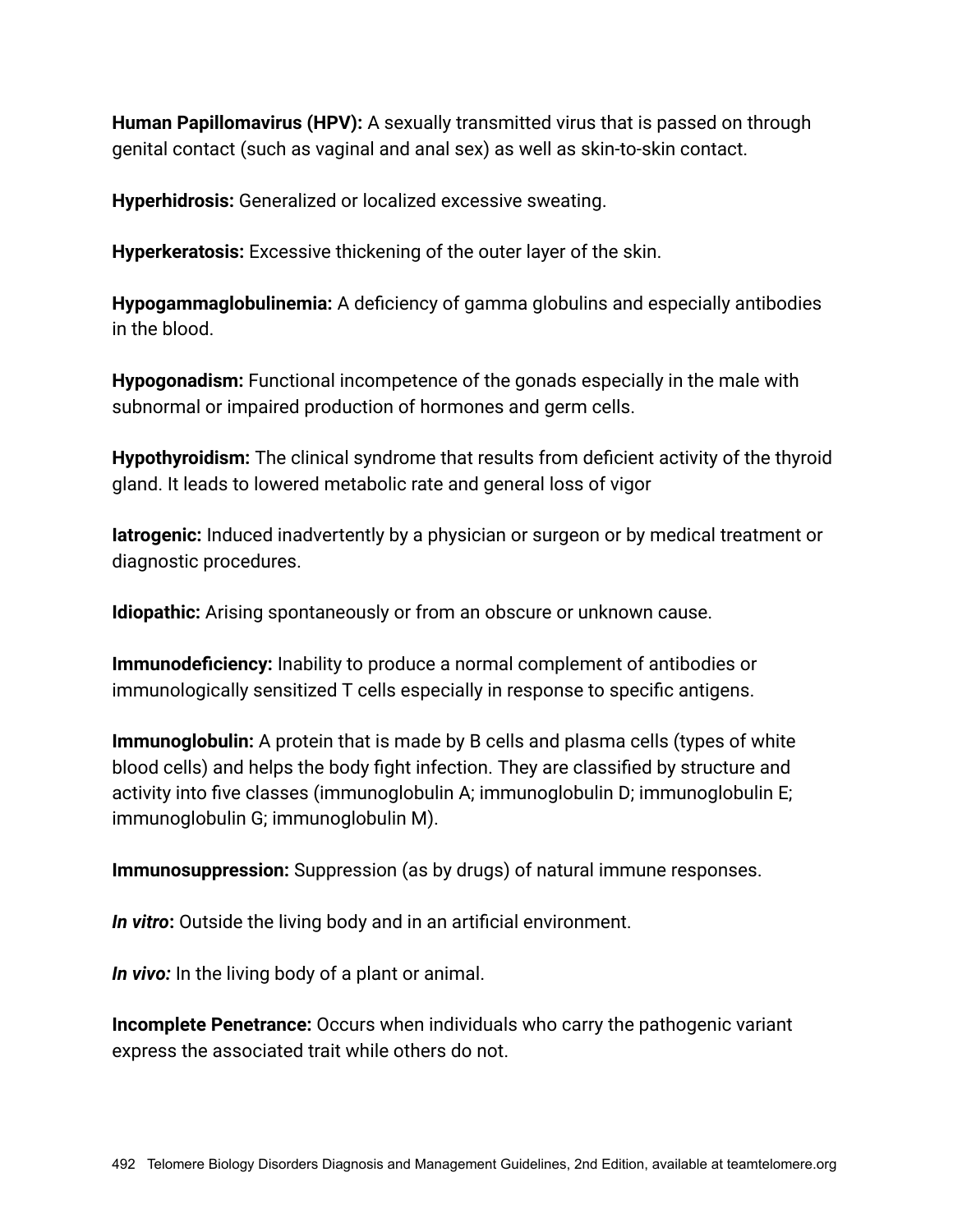**Human Papillomavirus (HPV):** A sexually transmitted virus that is passed on through genital contact (such as vaginal and anal sex) as well as skin-to-skin contact.

**Hyperhidrosis:** Generalized or localized excessive sweating.

**Hyperkeratosis:** Excessive thickening of the outer layer of the skin.

**Hypogammaglobulinemia:** A deficiency of gamma globulins and especially antibodies in the blood.

**Hypogonadism:** Functional incompetence of the gonads especially in the male with subnormal or impaired production of hormones and germ cells.

**Hypothyroidism:** The clinical syndrome that results from deficient activity of the thyroid gland. It leads to lowered metabolic rate and general loss of vigor

**Iatrogenic:** Induced inadvertently by a physician or surgeon or by medical treatment or diagnostic procedures.

**Idiopathic:** Arising spontaneously or from an obscure or unknown cause.

**Immunodeficiency:** Inability to produce a normal complement of antibodies or immunologically sensitized T cells especially in response to specific antigens.

**Immunoglobulin:** A protein that is made by B cells and plasma cells (types of white blood cells) and helps the body fight infection. They are classified by structure and activity into five classes (immunoglobulin A; immunoglobulin D; immunoglobulin E; immunoglobulin G; immunoglobulin M).

**Immunosuppression:** Suppression (as by drugs) of natural immune responses.

*In vitro***:** Outside the living body and in an artificial environment.

*In vivo:* In the living body of a plant or animal.

**Incomplete Penetrance:** Occurs when individuals who carry the pathogenic variant express the associated trait while others do not.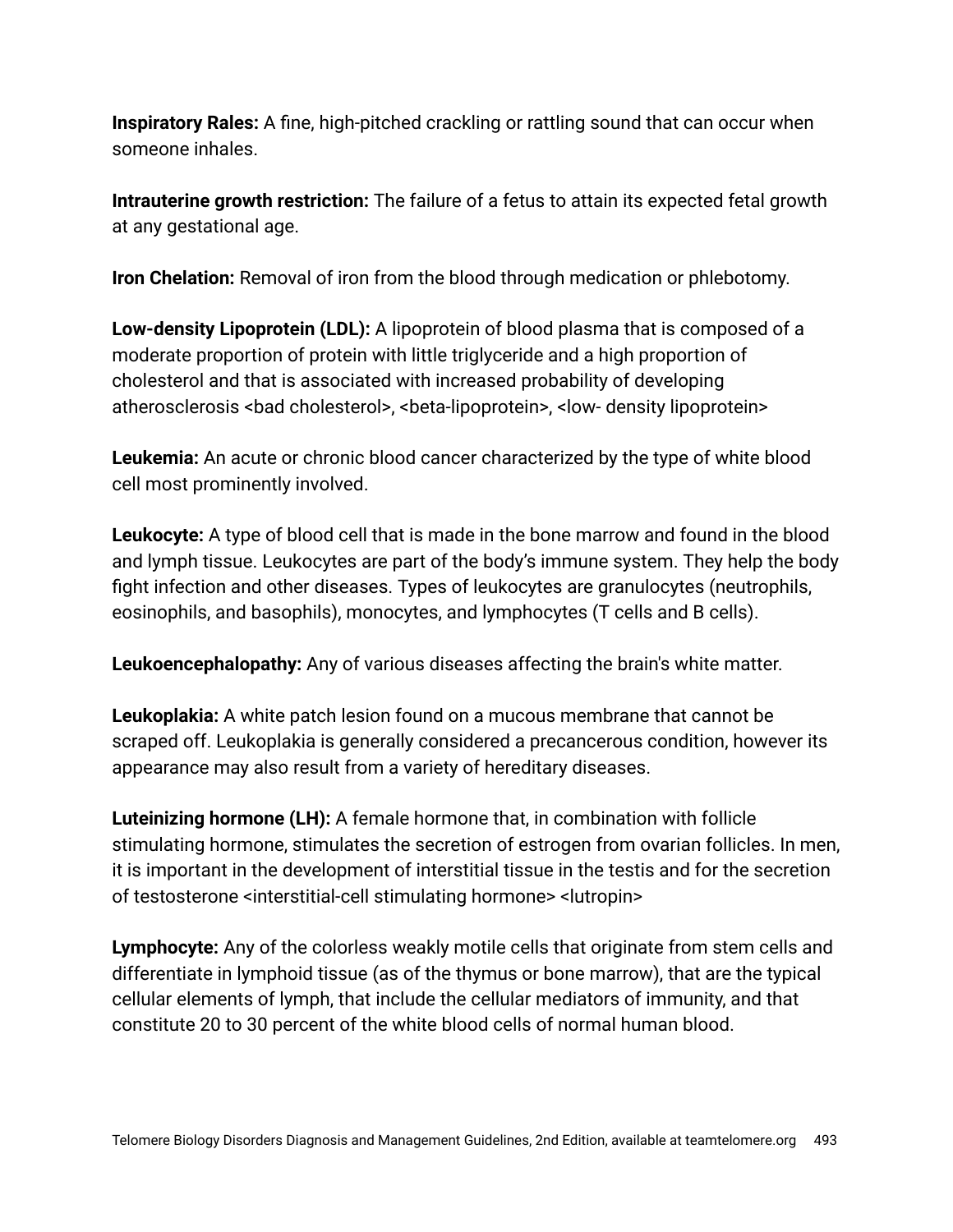**Inspiratory Rales:** A fine, high-pitched crackling or rattling sound that can occur when someone inhales.

**Intrauterine growth restriction:** The failure of a fetus to attain its expected fetal growth at any gestational age.

**Iron Chelation:** Removal of iron from the blood through medication or phlebotomy.

**Low-density Lipoprotein (LDL):** A lipoprotein of blood plasma that is composed of a moderate proportion of protein with little triglyceride and a high proportion of cholesterol and that is associated with increased probability of developing atherosclerosis <bad cholesterol>, <beta-lipoprotein>, <low- density lipoprotein>

**Leukemia:** An acute or chronic blood cancer characterized by the type of white blood cell most prominently involved.

**Leukocyte:** A type of blood cell that is made in the bone marrow and found in the blood and lymph tissue. Leukocytes are part of the body's immune system. They help the body fight infection and other diseases. Types of leukocytes are granulocytes (neutrophils, eosinophils, and basophils), monocytes, and lymphocytes (T cells and B cells).

**Leukoencephalopathy:** Any of various diseases affecting the brain's white matter.

**Leukoplakia:** A white patch lesion found on a mucous membrane that cannot be scraped off. Leukoplakia is generally considered a precancerous condition, however its appearance may also result from a variety of hereditary diseases.

**Luteinizing hormone (LH):** A female hormone that, in combination with follicle stimulating hormone, stimulates the secretion of estrogen from ovarian follicles. In men, it is important in the development of interstitial tissue in the testis and for the secretion of testosterone <interstitial-cell stimulating hormone> <lutropin>

**Lymphocyte:** Any of the colorless weakly motile cells that originate from stem cells and differentiate in lymphoid tissue (as of the thymus or bone marrow), that are the typical cellular elements of lymph, that include the cellular mediators of immunity, and that constitute 20 to 30 percent of the white blood cells of normal human blood.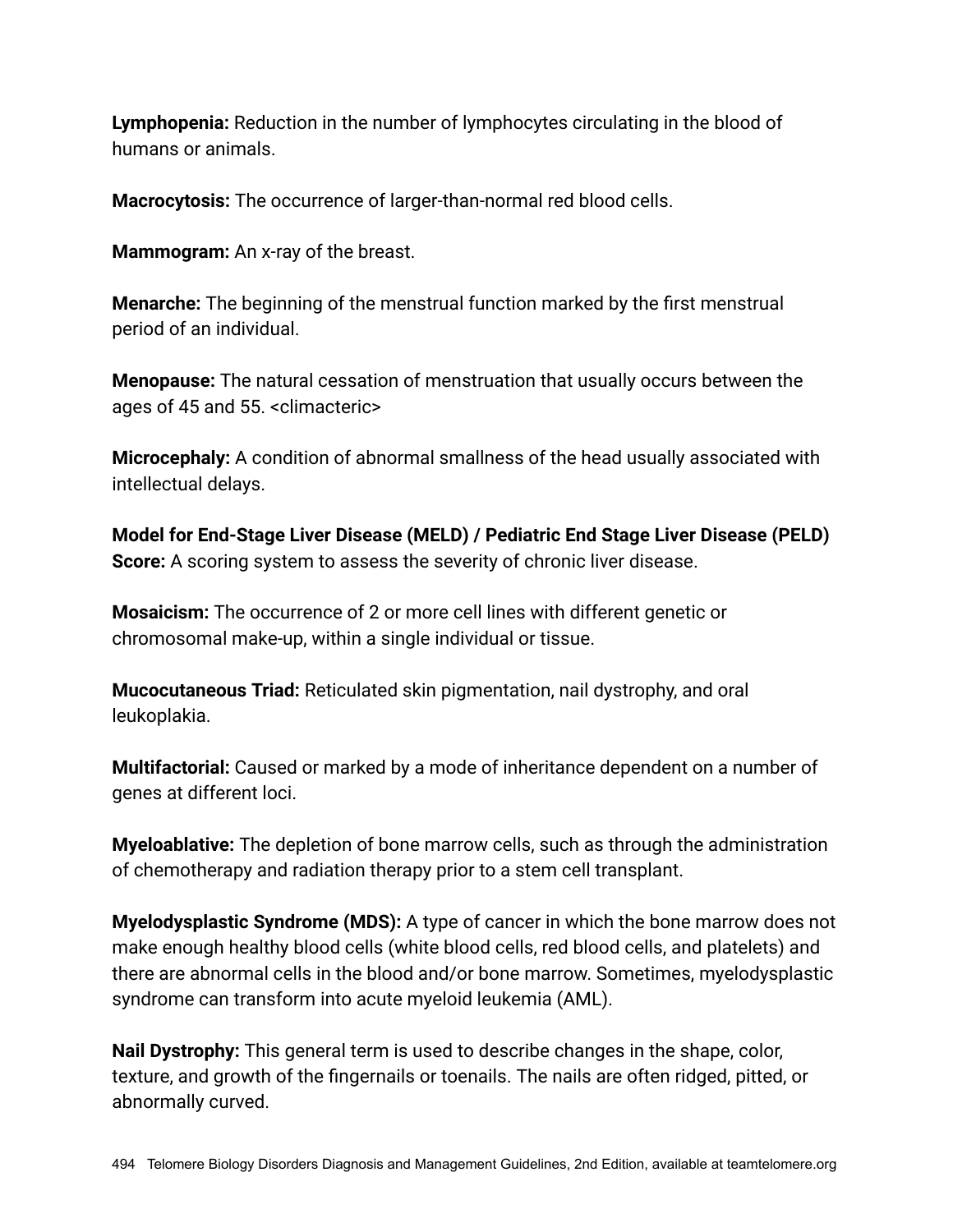**Lymphopenia:** Reduction in the number of lymphocytes circulating in the blood of humans or animals.

**Macrocytosis:** The occurrence of larger-than-normal red blood cells.

**Mammogram:** An x-ray of the breast.

**Menarche:** The beginning of the menstrual function marked by the first menstrual period of an individual.

**Menopause:** The natural cessation of menstruation that usually occurs between the ages of 45 and 55. <climacteric>

**Microcephaly:** A condition of abnormal smallness of the head usually associated with intellectual delays.

**Model for End-Stage Liver Disease (MELD) / Pediatric End Stage Liver Disease (PELD) Score:** A scoring system to assess the severity of chronic liver disease.

**Mosaicism:** The occurrence of 2 or more cell lines with different genetic or chromosomal make-up, within a single individual or tissue.

**Mucocutaneous Triad:** Reticulated skin pigmentation, nail dystrophy, and oral leukoplakia.

**Multifactorial:** Caused or marked by a mode of inheritance dependent on a number of genes at different loci.

**Myeloablative:** The depletion of bone marrow cells, such as through the administration of chemotherapy and radiation therapy prior to a stem cell transplant.

**Myelodysplastic Syndrome (MDS):** A type of cancer in which the bone marrow does not make enough healthy blood cells (white blood cells, red blood cells, and platelets) and there are abnormal cells in the blood and/or bone marrow. Sometimes, myelodysplastic syndrome can transform into acute myeloid leukemia (AML).

**Nail Dystrophy:** This general term is used to describe changes in the shape, color, texture, and growth of the fingernails or toenails. The nails are often ridged, pitted, or abnormally curved.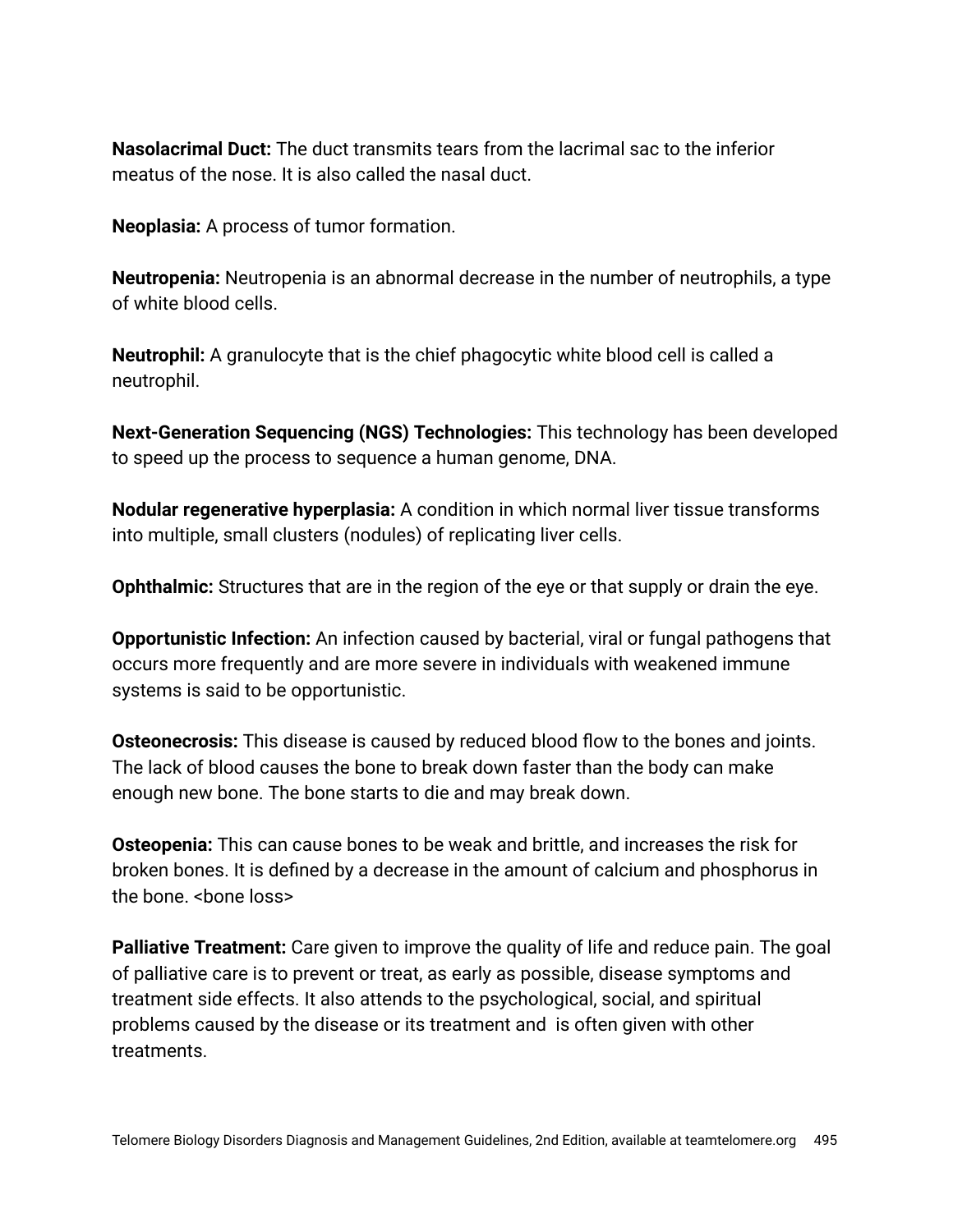**Nasolacrimal Duct:** The duct transmits tears from the lacrimal sac to the inferior meatus of the nose. It is also called the nasal duct.

**Neoplasia:** A process of tumor formation.

**Neutropenia:** Neutropenia is an abnormal decrease in the number of neutrophils, a type of white blood cells.

**Neutrophil:** A granulocyte that is the chief phagocytic white blood cell is called a neutrophil.

**Next-Generation Sequencing (NGS) Technologies:** This technology has been developed to speed up the process to sequence a human genome, DNA.

**Nodular regenerative hyperplasia:** A condition in which normal liver tissue transforms into multiple, small clusters (nodules) of replicating liver cells.

**Ophthalmic:** Structures that are in the region of the eye or that supply or drain the eye.

**Opportunistic Infection:** An infection caused by bacterial, viral or fungal pathogens that occurs more frequently and are more severe in individuals with weakened immune systems is said to be opportunistic.

**Osteonecrosis:** This disease is caused by reduced blood flow to the bones and joints. The lack of blood causes the bone to break down faster than the body can make enough new bone. The bone starts to die and may break down.

**Osteopenia:** This can cause bones to be weak and brittle, and increases the risk for broken bones. It is defined by a decrease in the amount of calcium and phosphorus in the bone. < bone loss>

**Palliative Treatment:** Care given to improve the quality of life and reduce pain. The goal of palliative care is to prevent or treat, as early as possible, disease symptoms and treatment side effects. It also attends to the psychological, social, and spiritual problems caused by the disease or its treatment and is often given with other treatments.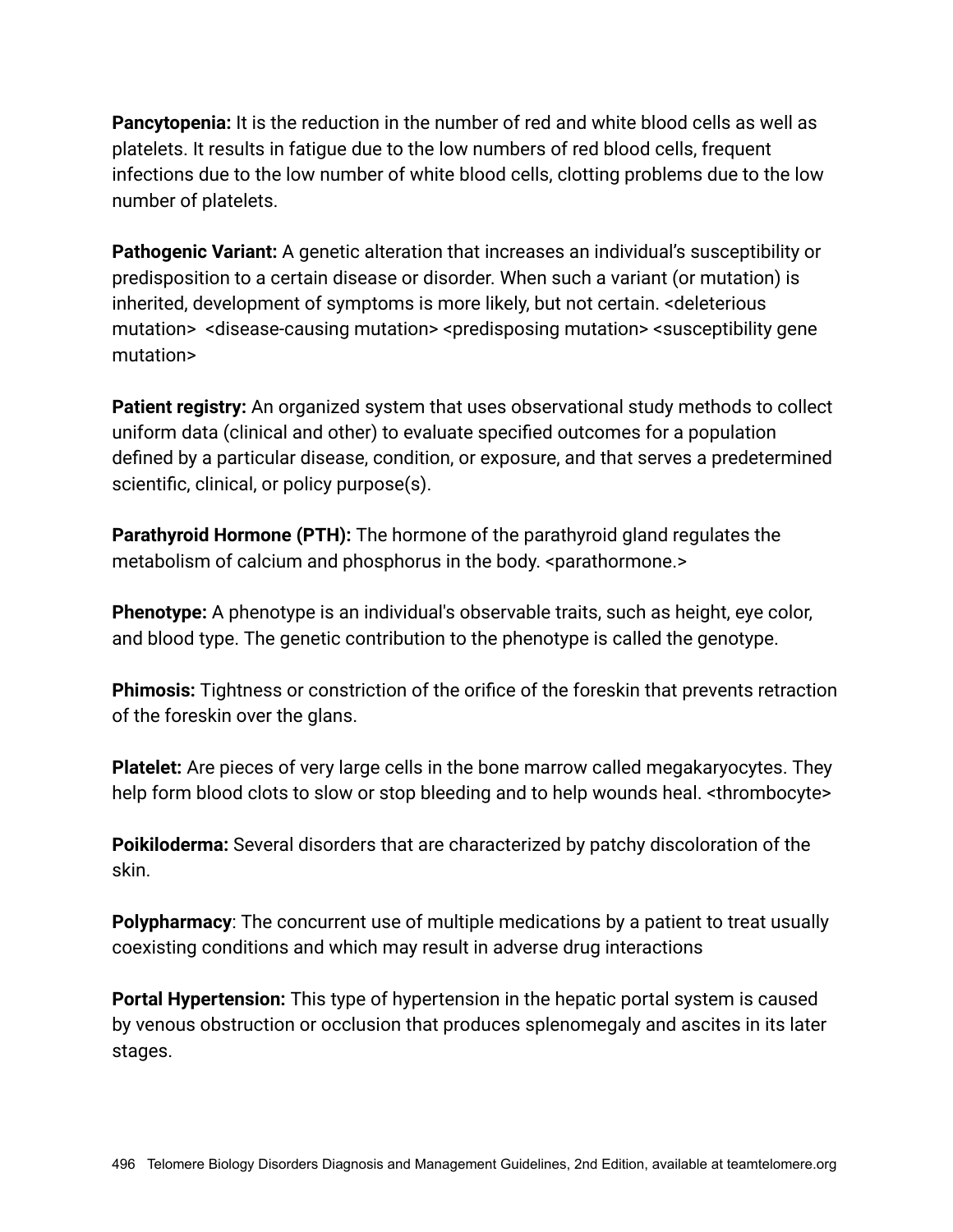**Pancytopenia:** It is the reduction in the number of red and white blood cells as well as platelets. It results in fatigue due to the low numbers of red blood cells, frequent infections due to the low number of white blood cells, clotting problems due to the low number of platelets.

**Pathogenic Variant:** A genetic alteration that increases an individual's susceptibility or predisposition to a certain disease or disorder. When such a variant (or mutation) is inherited, development of symptoms is more likely, but not certain. <deleterious mutation> <disease-causing mutation> <predisposing mutation> <susceptibility gene mutation>

**Patient registry:** An organized system that uses observational study methods to collect uniform data (clinical and other) to evaluate specified outcomes for a population defined by a particular disease, condition, or exposure, and that serves a predetermined scientific, clinical, or policy purpose(s).

**Parathyroid Hormone (PTH):** The hormone of the parathyroid gland regulates the metabolism of calcium and phosphorus in the body. <parathormone.>

**Phenotype:** A phenotype is an individual's observable traits, such as height, eye color, and blood type. The genetic contribution to the phenotype is called the genotype.

**Phimosis:** Tightness or constriction of the orifice of the foreskin that prevents retraction of the foreskin over the glans.

**Platelet:** Are pieces of very large cells in the bone marrow called megakaryocytes. They help form blood clots to slow or stop bleeding and to help wounds heal. <thrombocyte>

**Poikiloderma:** Several disorders that are characterized by patchy discoloration of the skin.

**Polypharmacy**: The concurrent use of multiple medications by a patient to treat usually coexisting conditions and which may result in adverse drug interactions

**Portal Hypertension:** This type of hypertension in the hepatic portal system is caused by venous obstruction or occlusion that produces splenomegaly and ascites in its later stages.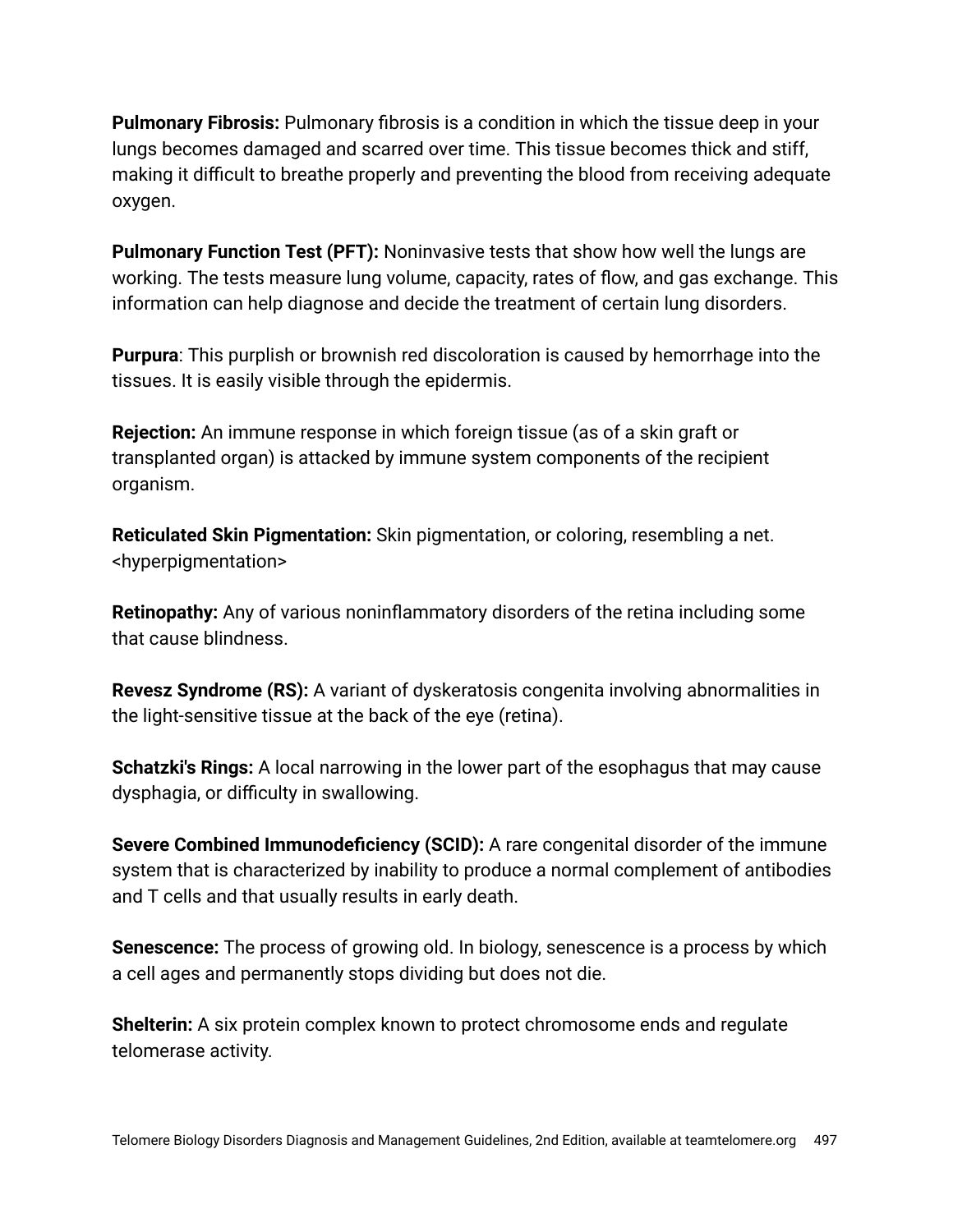**Pulmonary Fibrosis:** Pulmonary fibrosis is a condition in which the tissue deep in your lungs becomes damaged and scarred over time. This tissue becomes thick and stiff, making it difficult to breathe properly and preventing the blood from receiving adequate oxygen.

**Pulmonary Function Test (PFT):** Noninvasive tests that show how well the lungs are working. The tests measure lung volume, capacity, rates of flow, and gas exchange. This information can help diagnose and decide the treatment of certain lung disorders.

**Purpura**: This purplish or brownish red discoloration is caused by hemorrhage into the tissues. It is easily visible through the epidermis.

**Rejection:** An immune response in which foreign tissue (as of a skin graft or transplanted organ) is attacked by immune system components of the recipient organism.

**Reticulated Skin Pigmentation:** Skin pigmentation, or coloring, resembling a net. <hyperpigmentation>

**Retinopathy:** Any of various noninflammatory disorders of the retina including some that cause blindness.

**Revesz Syndrome (RS):** A variant of dyskeratosis congenita involving abnormalities in the light-sensitive tissue at the back of the eye (retina).

**Schatzki's Rings:** A local narrowing in the lower part of the esophagus that may cause dysphagia, or difficulty in swallowing.

**Severe Combined Immunodeficiency (SCID):** A rare congenital disorder of the immune system that is characterized by inability to produce a normal complement of antibodies and T cells and that usually results in early death.

**Senescence:** The process of growing old. In biology, senescence is a process by which a cell ages and permanently stops dividing but does not die.

**Shelterin:** A six protein complex known to protect chromosome ends and regulate telomerase activity.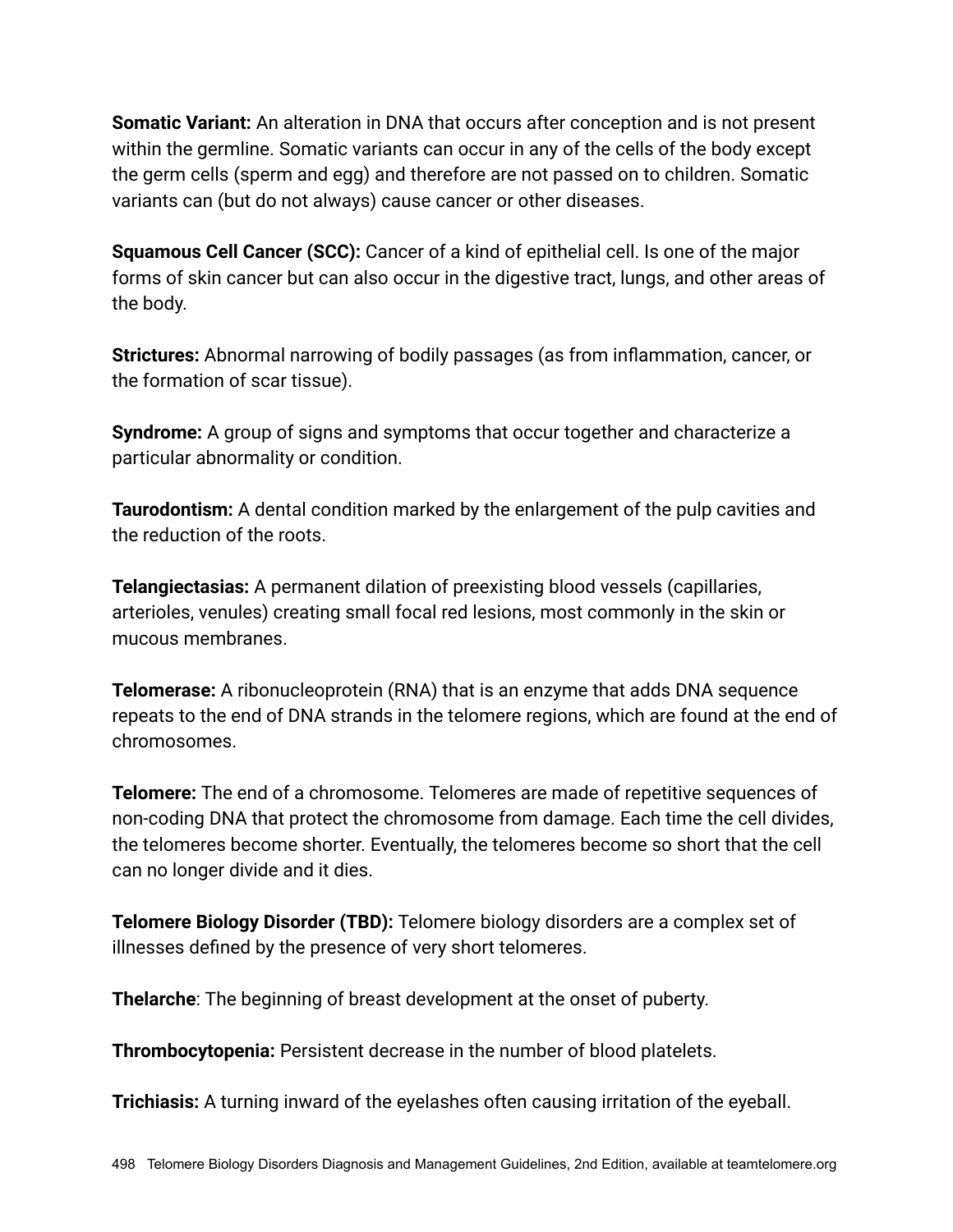**Somatic Variant:** An alteration in DNA that occurs after conception and is not present within the germline. Somatic variants can occur in any of the cells of the body except the germ cells (sperm and egg) and therefore are not passed on to children. Somatic variants can (but do not always) cause cancer or other diseases.

**Squamous Cell Cancer (SCC):** Cancer of a kind of epithelial cell. Is one of the major forms of skin cancer but can also occur in the digestive tract, lungs, and other areas of the body.

**Strictures:** Abnormal narrowing of bodily passages (as from inflammation, cancer, or the formation of scar tissue).

**Syndrome:** A group of signs and symptoms that occur together and characterize a particular abnormality or condition.

**Taurodontism:** A dental condition marked by the enlargement of the pulp cavities and the reduction of the roots.

**Telangiectasias:** A permanent dilation of preexisting blood vessels (capillaries, arterioles, venules) creating small focal red lesions, most commonly in the skin or mucous membranes.

**Telomerase:** A ribonucleoprotein (RNA) that is an enzyme that adds DNA sequence repeats to the end of DNA strands in the telomere regions, which are found at the end of chromosomes.

**Telomere:** The end of a chromosome. Telomeres are made of repetitive sequences of non-coding DNA that protect the chromosome from damage. Each time the cell divides, the telomeres become shorter. Eventually, the telomeres become so short that the cell can no longer divide and it dies.

**Telomere Biology Disorder (TBD):** Telomere biology disorders are a complex set of illnesses defined by the presence of very short telomeres.

**Thelarche**: The beginning of breast development at the onset of puberty.

**Thrombocytopenia:** Persistent decrease in the number of blood platelets.

**Trichiasis:** A turning inward of the eyelashes often causing irritation of the eyeball.